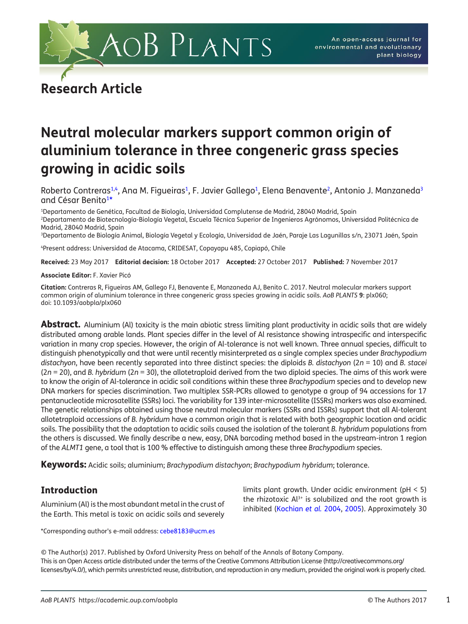

# **Research Article**

# **Neutral molecular markers support common origin of aluminium tolerance in three congeneric grass species growing in acidic soils**

Roberto Contreras<sup>1,[4](#page-0-1)</sup>, Ana M. Figueiras<sup>[1](#page-0-0)</sup>, F. Javier Gallego<sup>1</sup>, Elena Benavente<sup>[2](#page-0-2)</sup>, Antonio J. Manzaneda<sup>3</sup> and César Benito<sup>1\*</sup>

<span id="page-0-2"></span><span id="page-0-0"></span>1 Departamento de Genética, Facultad de Biología, Universidad Complutense de Madrid, 28040 Madrid, Spain 2 Departamento de Biotecnología-Biología Vegetal, Escuela Técnica Superior de Ingenieros Agrónomos, Universidad Politécnica de Madrid, 28040 Madrid, Spain

<span id="page-0-3"></span>3 Departamento de Biología Animal, Biología Vegetal y Ecología, Universidad de Jaén, Paraje Las Lagunillas s⁄n, 23071 Jaén, Spain

<span id="page-0-1"></span>4 Present address: Universidad de Atacama, CRIDESAT, Copayapu 485, Copiapó, Chile

**Received:** 23 May 2017 **Editorial decision:** 18 October 2017 **Accepted:** 27 October 2017 **Published:** 7 November 2017

#### **Associate Editor:** F. Xavier Picó

**Citation:** Contreras R, Figueiras AM, Gallego FJ, Benavente E, Manzaneda AJ, Benito C. 2017. Neutral molecular markers support common origin of aluminium tolerance in three congeneric grass species growing in acidic soils. *AoB PLANTS* **9**: plx060; doi: 10.1093/aobpla/plx060

**Abstract.** Aluminium (Al) toxicity is the main abiotic stress limiting plant productivity in acidic soils that are widely distributed among arable lands. Plant species differ in the level of Al resistance showing intraspecific and interspecific variation in many crop species. However, the origin of Al-tolerance is not well known. Three annual species, difficult to distinguish phenotypically and that were until recently misinterpreted as a single complex species under *Brachypodium distachyon*, have been recently separated into three distinct species: the diploids *B. distachyon* (2*n* = 10) and *B. stacei* (2*n* = 20), and *B. hybridum* (2*n* = 30), the allotetraploid derived from the two diploid species. The aims of this work were to know the origin of Al-tolerance in acidic soil conditions within these three *Brachypodium* species and to develop new DNA markers for species discrimination. Two multiplex SSR-PCRs allowed to genotype a group of 94 accessions for 17 pentanucleotide microsatellite (SSRs) loci. The variability for 139 inter-microsatellite (ISSRs) markers was also examined. The genetic relationships obtained using those neutral molecular markers (SSRs and ISSRs) support that all Al-tolerant allotetraploid accessions of *B. hybridum* have a common origin that is related with both geographic location and acidic soils. The possibility that the adaptation to acidic soils caused the isolation of the tolerant *B. hybridum* populations from the others is discussed. We finally describe a new, easy, DNA barcoding method based in the upstream-intron 1 region of the *ALMT1* gene, a tool that is 100 % effective to distinguish among these three *Brachypodium* species.

Keywords: Acidic soils; aluminium; *Brachypodium distachyon*; *Brachypodium hybridum*; tolerance.

## Introduction

Aluminium (Al) is the most abundant metal in the crust of the Earth. This metal is toxic on acidic soils and severely

\*Corresponding author's e-mail address: [cebe8183@ucm.es](mailto:cebe8183@ucm.es?subject=)

limits plant growth. Under acidic environment (pH < 5) the rhizotoxic  $Al^{3+}$  is solubilized and the root growth is inhibited [\(Kochian](#page-14-0) *et al.* 2004, [2005](#page-14-1)). Approximately 30

This is an Open Access article distributed under the terms of the Creative Commons Attribution License (http://creativecommons.org/ licenses/by/4.0/), which permits unrestricted reuse, distribution, and reproduction in any medium, provided the original work is properly cited. © The Author(s) 2017. Published by Oxford University Press on behalf of the Annals of Botany Company.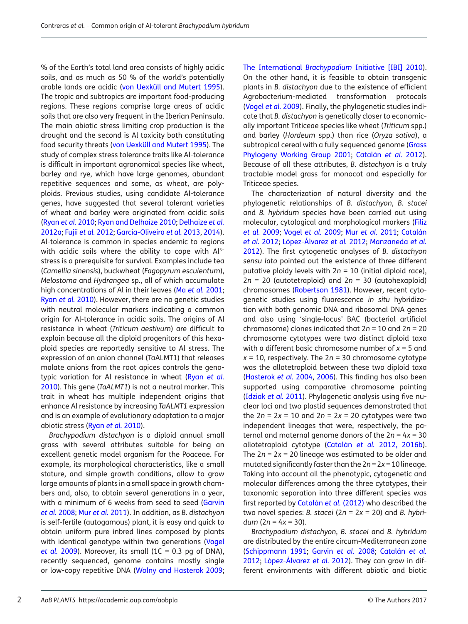% of the Earth's total land area consists of highly acidic soils, and as much as 50 % of the world's potentially arable lands are acidic [\(von Uexküll and Mutert 1995](#page-15-0)). The tropic and subtropics are important food-producing regions. These regions comprise large areas of acidic soils that are also very frequent in the Iberian Peninsula. The main abiotic stress limiting crop production is the drought and the second is Al toxicity both constituting food security threats [\(von Uexküll and Mutert 1995](#page-15-0)). The study of complex stress tolerance traits like Al-tolerance is difficult in important agronomical species like wheat, barley and rye, which have large genomes, abundant repetitive sequences and some, as wheat, are polyploids. Previous studies, using candidate Al-tolerance genes, have suggested that several tolerant varieties of wheat and barley were originated from acidic soils (Ryan *et al.* [2010;](#page-14-2) [Ryan and Delhaize 2010](#page-14-3); [Delhaize](#page-13-0) *et al.* [2012a](#page-13-0); Fujii *et al.* [2012](#page-13-1); [Garcia-Oliveira](#page-13-2) *et al.* 2013, [2014](#page-13-3)). Al-tolerance is common in species endemic to regions with acidic soils where the ability to cope with  $Al^{3+}$ stress is a prerequisite for survival. Examples include tea (*Camellia sinensis*), buckwheat (*Fagopyrum esculentum*), *Melostoma* and *Hydrangea* sp., all of which accumulate high concentrations of Al in their leaves (Ma *et al.* [2001](#page-14-4); Ryan *et al.* [2010](#page-14-2)). However, there are no genetic studies with neutral molecular markers indicating a common origin for Al-tolerance in acidic soils. The origins of Al resistance in wheat (*Triticum aestivum*) are difficult to explain because all the diploid progenitors of this hexaploid species are reportedly sensitive to Al stress. The expression of an anion channel (TaALMT1) that releases malate anions from the root apices controls the genotypic variation for Al resistance in wheat ([Ryan](#page-14-2) *et al.* [2010](#page-14-2)). This gene (*TaALMT1*) is not a neutral marker. This trait in wheat has multiple independent origins that enhance Al resistance by increasing *TaALMT1* expression and is an example of evolutionary adaptation to a major abiotic stress (Ryan *et al.* [2010](#page-14-2)).

*Brachypodium distachyon* is a diploid annual small grass with several attributes suitable for being an excellent genetic model organism for the Poaceae. For example, its morphological characteristics, like a small stature, and simple growth conditions, allow to grow large amounts of plants in a small space in growth chambers and, also, to obtain several generations in a year, with a minimum of 6 weeks from seed to seed (Garvin *et al.* [2008;](#page-14-5) Mur *et al.* [2011\)](#page-14-6). In addition, as *B. distachyon* is self-fertile (autogamous) plant, it is easy and quick to obtain uniform pure inbred lines composed by plants with identical genotype within two generations (Vogel *et al.* [2009\)](#page-15-1). Moreover, its small (1C = 0.3 pg of DNA), recently sequenced, genome contains mostly single or low-copy repetitive DNA ([Wolny and Hasterok 2009](#page-15-2); The International *Brachypodium* [Initiative \[IBI\] 2010](#page-15-3)). On the other hand, it is feasible to obtain transgenic plants in *B. distachyon* due to the existence of efficient Agrobacterium-mediated transformation protocols ([Vogel](#page-15-1) *et al.* 2009). Finally, the phylogenetic studies indicate that *B. distachyon* is genetically closer to economically important Triticeae species like wheat (*Triticum* spp.) and barley (*Hordeum* spp.) than rice (*Oryza sativa*), a subtropical cereal with a fully sequenced genome [\(Grass](#page-14-7) [Phylogeny Working Group 2001;](#page-14-7) [Catalán](#page-13-4) *et al.* 2012). Because of all these attributes, *B. distachyon* is a truly tractable model grass for monocot and especially for Triticeae species.

The characterization of natural diversity and the phylogenetic relationships of *B. distachyon*, *B. stacei* and *B. hybridum* species have been carried out using molecular, cytological and morphological markers ([Filiz](#page-13-5) *et al.* [2009;](#page-13-5) [Vogel](#page-15-1) *et al.* 2009; Mur *et al.* [2011](#page-14-6); [Catalán](#page-13-4) *et al.* [2012;](#page-13-4) [López-Álvarez](#page-14-8) *et al.* 2012; [Manzaneda](#page-14-9) *et al.* [2012\)](#page-14-9). The first cytogenetic analyses of *B. distachyon sensu lato* pointed out the existence of three different putative ploidy levels with 2*n* = 10 (initial diploid race),  $2n = 20$  (autotetraploid) and  $2n = 30$  (autohexaploid) chromosomes [\(Robertson 1981\)](#page-14-10). However, recent cytogenetic studies using fluorescence *in situ* hybridization with both genomic DNA and ribosomal DNA genes and also using 'single-locus' BAC (bacterial artificial chromosome) clones indicated that 2*n* = 10 and 2*n* = 20 chromosome cytotypes were two distinct diploid taxa with a different basic chromosome number of *x* = 5 and *x* = 10, respectively. The 2*n* = 30 chromosome cytotype was the allotetraploid between these two diploid taxa ([Hasterok](#page-14-11) *et al.* 2004, [2006](#page-14-12)). This finding has also been supported using comparative chromosome painting ([Idziak](#page-14-13) *et al.* 2011). Phylogenetic analysis using five nuclear loci and two plastid sequences demonstrated that the  $2n = 2x = 10$  and  $2n = 2x = 20$  cytotypes were two independent lineages that were, respectively, the paternal and maternal genome donors of the 2*n* = 4*x* = 30 allotetraploid cytotype (Catalán *et al.* [2012, 2016b](#page-13-6)). The 2*n* = 2*x* = 20 lineage was estimated to be older and mutated significantly faster than the 2*n* = 2*x* = 10 lineage. Taking into account all the phenotypic, cytogenetic and molecular differences among the three cytotypes, their taxonomic separation into three different species was first reported by [Catalán](#page-13-4) *et al.* (2012) who described the two novel species: *B. stacei* (2*n* = 2*x* = 20) and *B. hybridum* (2*n* = 4*x* = 30).

*Brachypodium distachyon*, *B. stacei* and *B. hybridum* are distributed by the entire circum-Mediterranean zone ([Schippmann 1991;](#page-14-14) [Garvin](#page-14-5) *et al.* 2008; [Catalán](#page-13-4) *et al.* [2012;](#page-13-4) [López-Álvarez](#page-14-8) *et al.* 2012). They can grow in different environments with different abiotic and biotic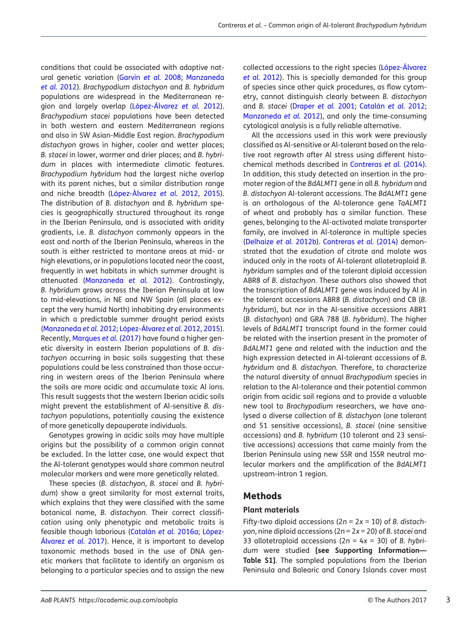conditions that could be associated with adaptive natural genetic variation ([Garvin](#page-14-5) *et al.* 2008; [Manzaneda](#page-14-9)  *et al.* [2012\)](#page-14-9). *Brachypodium distachyon* and *B. hybridum* populations are widespread in the Mediterranean region and largely overlap [\(López-Álvarez](#page-14-8) *et al.* 2012). *Brachypodium stacei* populations have been detected in both western and eastern Mediterranean regions and also in SW Asian-Middle East region. *Brachypodium distachyon* grows in higher, cooler and wetter places; *B. stacei* in lower, warmer and drier places; and *B. hybridum* in places with intermediate climatic features. *Brachypodium hybridum* had the largest niche overlap with its parent niches, but a similar distribution range and niche breadth ([López-Álvarez](#page-14-8) *et al.* 2012, [2015](#page-14-15)). The distribution of *B. distachyon* and *B. hybridum* species is geographically structured throughout its range in the Iberian Peninsula, and is associated with aridity gradients, i.e. *B. distachyon* commonly appears in the east and north of the Iberian Peninsula, whereas in the south is either restricted to montane areas at mid- or high elevations, or in populations located near the coast, frequently in wet habitats in which summer drought is attenuated ([Manzaneda](#page-14-9) *et al.* 2012). Contrastingly, *B. hybridum* grows across the Iberian Peninsula at low to mid-elevations, in NE and NW Spain (all places except the very humid North) inhabiting dry environments in which a predictable summer drought period exists [\(Manzaneda](#page-14-9) *et al.* 2012; [López-Álvarez](#page-14-8) *et al.* 2012, [2015](#page-14-15)). Recently, [Marques](#page-14-16) *et al.* (2017) have found a higher genetic diversity in eastern Iberian populations of *B. distachyon* occurring in basic soils suggesting that these populations could be less constrained than those occurring in western areas of the Iberian Peninsula where the soils are more acidic and accumulate toxic Al ions. This result suggests that the western Iberian acidic soils might prevent the establishment of Al-sensitive *B. distachyon* populations, potentially causing the existence of more genetically depauperate individuals.

Genotypes growing in acidic soils may have multiple origins but the possibility of a common origin cannot be excluded. In the latter case, one would expect that the Al-tolerant genotypes would share common neutral molecular markers and were more genetically related.

These species (*B. distachyon*, *B. stacei* and *B. hybridum*) show a great similarity for most external traits, which explains that they were classified with the same botanical name, *B. distachyon*. Their correct classification using only phenotypic and metabolic traits is feasible though laborious [\(Catalán](#page-13-7) *et al.* 2016a; [López-](#page-14-17)[Álvarez](#page-14-17) *et al.* 2017). Hence, it is important to develop taxonomic methods based in the use of DNA genetic markers that facilitate to identify an organism as belonging to a particular species and to assign the new collected accessions to the right species ([López-Álvarez](#page-14-8) *et al.* [2012](#page-14-8)). This is specially demanded for this group of species since other quick procedures, as flow cytometry, cannot distinguish clearly between *B. distachyon* and *B. stacei* [\(Draper](#page-13-8) *et al.* 2001; [Catalán](#page-13-4) *et al.* 2012; [Manzaneda](#page-14-9) *et al.* 2012), and only the time-consuming cytological analysis is a fully reliable alternative.

All the accessions used in this work were previously classified as Al-sensitive or Al-tolerant based on the relative root regrowth after Al stress using different histochemical methods described in [Contreras](#page-13-9) *et al.* (2014). In addition, this study detected an insertion in the promoter region of the *BdALMT1* gene in all *B. hybridum* and *B. distachyon* Al-tolerant accessions. The *BdALMT1* gene is an orthologous of the Al-tolerance gene *TaALMT1* of wheat and probably has a similar function. These genes, belonging to the Al-activated malate transporter family, are involved in Al-tolerance in multiple species ([Delhaize](#page-13-10) *et al.* 2012b). [Contreras](#page-13-9) *et al.* (2014) demonstrated that the exudation of citrate and malate was induced only in the roots of Al-tolerant allotetraploid *B. hybridum* samples and of the tolerant diploid accession ABR8 of *B. distachyon*. These authors also showed that the transcription of *BdALMT1* gene was induced by Al in the tolerant accessions ABR8 (*B. distachyon*) and CB (*B. hybridum*), but nor in the Al-sensitive accessions ABR1 (*B. distachyon*) and GRA 788 (*B. hybridum*). The higher levels of *BdALMT1* transcript found in the former could be related with the insertion present in the promoter of *BdALMT1* gene and related with the induction and the high expression detected in Al-tolerant accessions of *B. hybridum* and *B. distachyon*. Therefore, to characterize the natural diversity of annual *Brachypodium* species in relation to the Al-tolerance and their potential common origin from acidic soil regions and to provide a valuable new tool to *Brachypodium* researchers, we have analysed a diverse collection of *B. distachyon* (one tolerant and 51 sensitive accessions), *B. stacei* (nine sensitive accessions) and *B. hybridum* (10 tolerant and 23 sensitive accessions) accessions that came mainly from the Iberian Peninsula using new SSR and ISSR neutral molecular markers and the amplification of the *BdALMT1* upstream-intron 1 region.

## Methods

#### **Plant materials**

Fifty-two diploid accessions (2*n* = 2*x* = 10) of *B. distachyon*, nine diploid accessions (2*n* = 2*x* = 20) of *B. stacei* and 33 allotetraploid accessions (2*n* = 4*x* = 30) of *B. hybridum* were studied **[see Supporting Information— Table S1]**. The sampled populations from the Iberian Peninsula and Balearic and Canary Islands cover most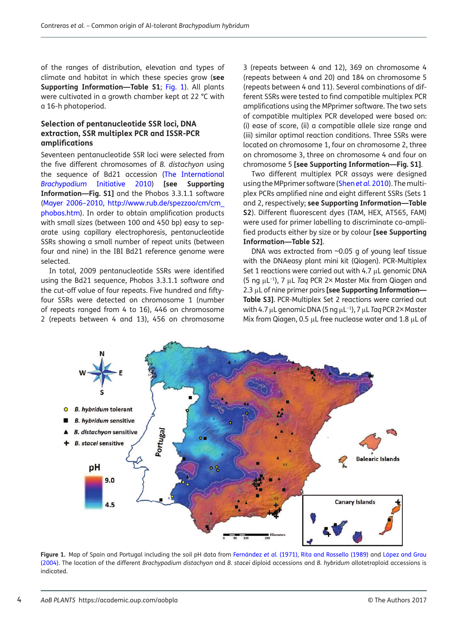of the ranges of distribution, elevation and types of climate and habitat in which these species grow (**see Supporting Information—Table S1**; [Fig. 1\)](#page-3-0). All plants were cultivated in a growth chamber kept at 22 °C with a 16-h photoperiod.

#### **Selection of pentanucleotide SSR loci, DNA extraction, SSR multiplex PCR and ISSR-PCR amplifications**

Seventeen pentanucleotide SSR loci were selected from the five different chromosomes of *B. distachyon* using the sequence of Bd21 accession [\(The International](#page-15-3)  *Brachypodium* [Initiative 2010\)](#page-15-3) **[see Supporting Information—Fig. S1]** and the Phobos 3.3.1.1 software [\(Mayer 2006–2010,](#page-14-18) [http://www.rub.de/spezzoo/cm/cm\\_](http://www.rub.de/spezzoo/cm/cm_phobos.htm) [phobos.htm\)](http://www.rub.de/spezzoo/cm/cm_phobos.htm). In order to obtain amplification products with small sizes (between 100 and 450 bp) easy to separate using capillary electrophoresis, pentanucleotide SSRs showing a small number of repeat units (between four and nine) in the IBI Bd21 reference genome were selected.

In total, 2009 pentanucleotide SSRs were identified using the Bd21 sequence, Phobos 3.3.1.1 software and the cut-off value of four repeats. Five hundred and fiftyfour SSRs were detected on chromosome 1 (number of repeats ranged from 4 to 16), 446 on chromosome 2 (repeats between 4 and 13), 456 on chromosome

3 (repeats between 4 and 12), 369 on chromosome 4 (repeats between 4 and 20) and 184 on chromosome 5 (repeats between 4 and 11). Several combinations of different SSRs were tested to find compatible multiplex PCR amplifications using the MPprimer software. The two sets of compatible multiplex PCR developed were based on: (i) ease of score, (ii) a compatible allele size range and (iii) similar optimal reaction conditions. Three SSRs were located on chromosome 1, four on chromosome 2, three on chromosome 3, three on chromosome 4 and four on chromosome 5 **[see Supporting Information—Fig. S1]**.

Two different multiplex PCR assays were designed using the MPprimer software ([Shen](#page-15-4) *et al.* 2010). The multiplex PCRs amplified nine and eight different SSRs (Sets 1 and 2, respectively; **see Supporting Information—Table S2**). Different fluorescent dyes (TAM, HEX, AT565, FAM) were used for primer labelling to discriminate co-amplified products either by size or by colour **[see Supporting Information—Table S2]**.

DNA was extracted from ~0.05 g of young leaf tissue with the DNAeasy plant mini kit (Qiagen). PCR-Multiplex Set 1 reactions were carried out with 4.7 μL genomic DNA (5 ng μL−1), 7 μL *Taq* PCR 2× Master Mix from Qiagen and 2.3 μL of nine primer pairs **[see Supporting Information— Table S3]**. PCR-Multiplex Set 2 reactions were carried out with 4.7 μL genomic DNA (5 ng μL−1), 7 μL *Taq* PCR 2× Master Mix from Qiagen, 0.5 μL free nuclease water and 1.8 μL of



<span id="page-3-0"></span>**Figure 1.** Map of Spain and Portugal including the soil pH data from [Fernández](#page-13-11) *et al.* (1971), [Rita and Rossello \(1989\)](#page-14-19) and [López and Grau](#page-14-20) [\(2004\).](#page-14-20) The location of the different *Brachypodium distachyon* and *B. stacei* diploid accessions and *B. hybridum* allotetraploid accessions is indicated.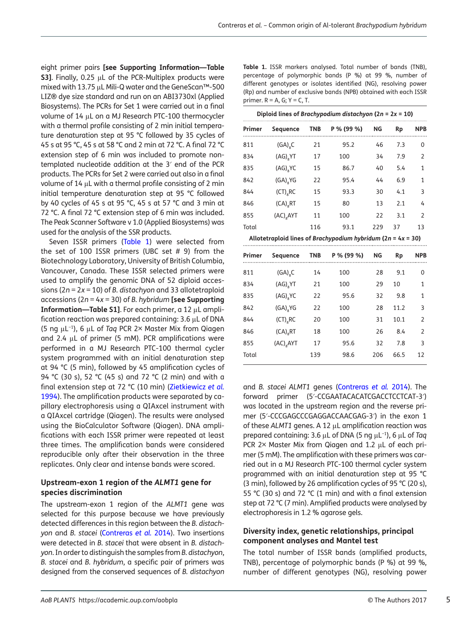eight primer pairs **[see Supporting Information—Table S3]**. Finally, 0.25 μL of the PCR-Multiplex products were mixed with 13.75 μL Mili-Q water and the GeneScan™-500 LIZ® dye size standard and run on an ABI3730xl (Applied Biosystems). The PCRs for Set 1 were carried out in a final volume of 14 μL on a MJ Research PTC-100 thermocycler with a thermal profile consisting of 2 min initial temperature denaturation step at 95 °C followed by 35 cycles of 45 s at 95 °C, 45 s at 58 °C and 2 min at 72 °C. A final 72 °C extension step of 6 min was included to promote nontemplated nucleotide addition at the 3′ end of the PCR products. The PCRs for Set 2 were carried out also in a final volume of 14 μL with a thermal profile consisting of 2 min initial temperature denaturation step at 95 °C followed by 40 cycles of 45 s at 95 °C, 45 s at 57 °C and 3 min at 72 °C. A final 72 °C extension step of 6 min was included. The Peak Scanner Software v 1.0 (Applied Biosystems) was used for the analysis of the SSR products.

Seven ISSR primers (Table 1) were selected from the set of 100 ISSR primers (UBC set # 9) from the Biotechnology Laboratory, University of British Columbia, Vancouver, Canada. These ISSR selected primers were used to amplify the genomic DNA of 52 diploid accessions (2*n* = 2*x* = 10) of *B. distachyon* and 33 allotetraploid accessions (2*n* = 4*x* = 30) of *B. hybridum* **[see Supporting Information—Table S1]**. For each primer, a 12 μL amplification reaction was prepared containing: 3.6 μL of DNA (5 ng μL−1), 6 μL of *Taq* PCR 2× Master Mix from Qiagen and 2.4 μL of primer (5 mM). PCR amplifications were performed in a MJ Research PTC-100 thermal cycler system programmed with an initial denaturation step at 94 °C (5 min), followed by 45 amplification cycles of 94 °C (30 s), 52 °C (45 s) and 72 °C (2 min) and with a final extension step at 72 °C (10 min) [\(Zietkiewicz](#page-15-5) *et al.* [1994](#page-15-5)). The amplification products were separated by capillary electrophoresis using a QIAxcel instrument with a QIAxcel cartridge (Qiagen). The results were analysed using the BioCalculator Software (Qiagen). DNA amplifications with each ISSR primer were repeated at least three times. The amplification bands were considered reproducible only after their observation in the three replicates. Only clear and intense bands were scored.

#### **Upstream-exon 1 region of the** *ALMT1* **gene for species discrimination**

The upstream-exon 1 region of the *ALMT1* gene was selected for this purpose because we have previously detected differences in this region between the *B. distachyon* and *B. stacei* ([Contreras](#page-13-9) *et al.* 2014). Two insertions were detected in *B. stacei* that were absent in *B. distachyon*. In order to distinguish the samples from *B. distachyon*, *B. stacei* and *B. hybridum*, a specific pair of primers was designed from the conserved sequences of *B. distachyon*

<span id="page-4-0"></span>**Table 1.** ISSR markers analysed. Total number of bands (TNB), percentage of polymorphic bands (P %) at 99 %, number of different genotypes or isolates identified (NG), resolving power (Rp) and number of exclusive bands (NPB) obtained with each ISSR primer.  $R = A$ , G;  $Y = C$ , T.

| Diploid lines of Brachypodium distachyon (2n = $2x = 10$ )      |                       |            |                   |          |     |            |  |  |
|-----------------------------------------------------------------|-----------------------|------------|-------------------|----------|-----|------------|--|--|
| Primer                                                          | Sequence              | <b>TNB</b> | $P$ % (99 %)      | ΝG<br>Rp |     | <b>NPB</b> |  |  |
| 811                                                             | $(GA)_{8}C$           | 21         | 95.2<br>46        |          | 7.3 | 0          |  |  |
| 834                                                             | (AG) YT               | 17         | 100               | 34       | 7.9 | 2          |  |  |
| 835                                                             | $(AG)_{8}$ YC         | 15         | 86.7<br>40<br>5.4 |          |     | 1          |  |  |
| 842                                                             | $(GA)_{8}YG$          | 22         | 95.4<br>44        |          | 6.9 | 1          |  |  |
| 844                                                             | $(CT)_{8}$ RC         | 15         | 93.3<br>30        |          | 4.1 | 3          |  |  |
| 846                                                             | $(CA)_{R}RT$          | 15         | 13<br>80          |          | 2.1 | 4          |  |  |
| 855                                                             | (AC) <sub>s</sub> AYT | 11         | 100               | 22       | 3.1 | 2          |  |  |
| Total                                                           |                       | 116        | 93.1              | 229      | 37  | 13         |  |  |
| Allotetraploid lines of Brachypodium hybridum (2n = $4x = 30$ ) |                       |            |                   |          |     |            |  |  |
| Primer                                                          | Sequence              | TNB        | P % (99 %)        | ΝG       | Rp  | <b>NPB</b> |  |  |
| 811                                                             | $(GA)_{o}C$           | 14         | 100               | 28       | 9.1 | 0          |  |  |
| 834                                                             | $(AG)_{8}$ YT         | 21         | 100               | 29       | 10  | 1          |  |  |
| 835                                                             | (AG) YC               | 22         | 95 R              | 32       | 9 R | 1          |  |  |

| 834   | $(AG)_{8}$ YT  | 21  | 100  | 29  | 10   | 1              |
|-------|----------------|-----|------|-----|------|----------------|
| 835   | $(AG)_{8}$ YC  | 22  | 95.6 | 32  | 9.8  | 1              |
| 842   | $(GA)_{8}YG$   | 22  | 100  | 28  | 11.2 | 3              |
| 844   | $(CT)_{8}$ RC  | 20  | 100  | 31  | 10.1 | $\overline{2}$ |
| 846   | $(CA)_{8}RT$   | 18  | 100  | 26  | 8.4  | 2              |
| 855   | $(AC)_{8}$ AYT | 17  | 95.6 | 32  | 7.8  | 3              |
| Total |                | 139 | 98.6 | 206 | 66.5 | 12             |
|       |                |     |      |     |      |                |

and *B. stacei ALMT1* genes [\(Contreras](#page-13-9) *et al.* 2014). The forward primer (5′-CCGAATACACATCGACCTCCTCAT-3′) was located in the upstream region and the reverse primer (5′-CCCGAGCCCGAGGACCAACGAG-3′) in the exon 1 of these *ALMT1* genes. A 12 μL amplification reaction was prepared containing: 3.6 μL of DNA (5 ng μL−1), 6 μL of *Taq* PCR 2× Master Mix from Qiagen and 1.2 μL of each primer (5 mM). The amplification with these primers was carried out in a MJ Research PTC-100 thermal cycler system programmed with an initial denaturation step at 95 °C (3 min), followed by 26 amplification cycles of 95 °C (20 s), 55 °C (30 s) and 72 °C (1 min) and with a final extension step at 72 °C (7 min). Amplified products were analysed by electrophoresis in 1.2 % agarose gels.

## **Diversity index, genetic relationships, principal component analyses and Mantel test**

The total number of ISSR bands (amplified products, TNB), percentage of polymorphic bands (P %) at 99 %, number of different genotypes (NG), resolving power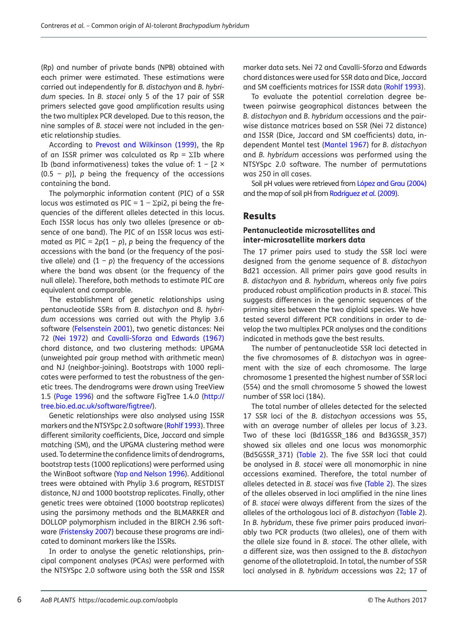(Rp) and number of private bands (NPB) obtained with each primer were estimated. These estimations were carried out independently for *B. distachyon* and *B. hybridum* species. In *B. stacei* only 5 of the 17 pair of SSR primers selected gave good amplification results using the two multiplex PCR developed. Due to this reason, the nine samples of *B. stacei* were not included in the genetic relationship studies.

According to [Prevost and Wilkinson \(1999\),](#page-14-21) the Rp of an ISSR primer was calculated as  $Rp = \Sigma Ib$  where Ib (band informativeness) takes the value of:  $1 - [2 \times$ (0.5 − *p*)], *p* being the frequency of the accessions containing the band.

The polymorphic information content (PIC) of a SSR locus was estimated as PIC =  $1 - \Sigma$ pi2, pi being the frequencies of the different alleles detected in this locus. Each ISSR locus has only two alleles (presence or absence of one band). The PIC of an ISSR locus was estimated as PIC =  $2p(1 - p)$ , *p* being the frequency of the accessions with the band (or the frequency of the positive allele) and (1 − *p*) the frequency of the accessions where the band was absent (or the frequency of the null allele). Therefore, both methods to estimate PIC are equivalent and comparable.

The establishment of genetic relationships using pentanucleotide SSRs from *B. distachyon* and *B. hybridum* accessions was carried out with the Phylip 3.6 software ([Felsenstein 2001\)](#page-13-12), two genetic distances: Nei 72 [\(Nei 1972](#page-14-22)) and [Cavalli-Sforza and Edwards \(1967\)](#page-13-13) chord distance, and two clustering methods: UPGMA (unweighted pair group method with arithmetic mean) and NJ (neighbor-joining). Bootstraps with 1000 replicates were performed to test the robustness of the genetic trees. The dendrograms were drawn using TreeView 1.5 [\(Page 1996](#page-14-23)) and the software FigTree 1.4.0 ([http://](http://tree.bio.ed.ac.uk/software/figtree/) [tree.bio.ed.ac.uk/software/figtree/\)](http://tree.bio.ed.ac.uk/software/figtree/).

Genetic relationships were also analysed using ISSR markers and the NTSYSpc 2.0 software ([Rohlf 1993\)](#page-14-24). Three different similarity coefficients, Dice, Jaccard and simple matching (SM), and the UPGMA clustering method were used. To determine the confidence limits of dendrograms, bootstrap tests (1000 replications) were performed using the WinBoot software ([Yap and Nelson 1996](#page-15-6)). Additional trees were obtained with Phylip 3.6 program, RESTDIST distance, NJ and 1000 bootstrap replicates. Finally, other genetic trees were obtained (1000 bootstrap replicates) using the parsimony methods and the BLMARKER and DOLLOP polymorphism included in the BIRCH 2.96 software ([Fristensky 2007](#page-13-14)) because these programs are indicated to dominant markers like the ISSRs.

In order to analyse the genetic relationships, principal component analyses (PCAs) were performed with the NTSYSpc 2.0 software using both the SSR and ISSR marker data sets. Nei 72 and Cavalli-Sforza and Edwards chord distances were used for SSR data and Dice, Jaccard and SM coefficients matrices for ISSR data [\(Rohlf 1993](#page-14-24)).

To evaluate the potential correlation degree between pairwise geographical distances between the *B. distachyon* and *B. hybridum* accessions and the pairwise distance matrices based on SSR (Nei 72 distance) and ISSR (Dice, Jaccard and SM coefficients) data, independent Mantel test [\(Mantel 1967\)](#page-14-25) for *B. distachyon* and *B. hybridum* accessions was performed using the NTSYSpc 2.0 software. The number of permutations was 250 in all cases.

Soil pH values were retrieved from [López and Grau \(2004\)](#page-14-20) and the map of soil pH from [Rodríguez](#page-14-26) *et al.* (2009).

## Results

#### **Pentanucleotide microsatellites and inter-microsatellite markers data**

The 17 primer pairs used to study the SSR loci were designed from the genome sequence of *B. distachyon* Bd21 accession. All primer pairs gave good results in *B. distachyon* and *B. hybridum*, whereas only five pairs produced robust amplification products in *B. stacei*. This suggests differences in the genomic sequences of the priming sites between the two diploid species. We have tested several different PCR conditions in order to develop the two multiplex PCR analyses and the conditions indicated in methods gave the best results.

The number of pentanucleotide SSR loci detected in the five chromosomes of *B. distachyon* was in agreement with the size of each chromosome. The large chromosome 1 presented the highest number of SSR loci (554) and the small chromosome 5 showed the lowest number of SSR loci (184).

The total number of alleles detected for the selected 17 SSR loci of the *B. distachyon* accessions was 55, with an average number of alleles per locus of 3.23. Two of these loci (Bd1GSSR\_186 and Bd3GSSR\_357) showed six alleles and one locus was monomorphic (Bd5GSSR 371) (Table 2). The five SSR loci that could be analysed in *B. stacei* were all monomorphic in nine accessions examined. Therefore, the total number of alleles detected in *B. stacei* was five [\(Table 2](#page-6-0)). The sizes of the alleles observed in loci amplified in the nine lines of *B. stacei* were always different from the sizes of the alleles of the orthologous loci of *B. distachyon* [\(Table 2](#page-6-0)). In *B. hybridum*, these five primer pairs produced invariably two PCR products (two alleles), one of them with the allele size found in *B. stacei*. The other allele, with a different size, was then assigned to the *B. distachyon* genome of the allotetraploid. In total, the number of SSR loci analysed in *B. hybridum* accessions was 22; 17 of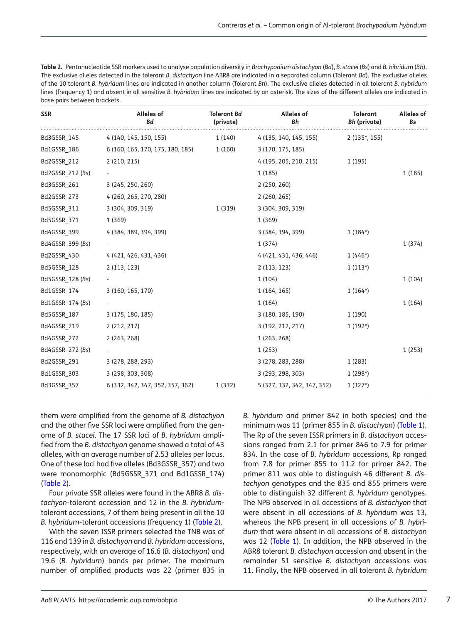<span id="page-6-0"></span>**Table 2.** Pentanucleotide SSR markers used to analyse population diversity in *Brachypodium distachyon* (*Bd*), *B. stacei* (*Bs*) and *B. hibridum* (*Bh*). The exclusive alleles detected in the tolerant *B. distachyon* line ABR8 are indicated in a separated column (Tolerant *Bd*). The exclusive alleles of the 10 tolerant *B. hybridum* lines are indicated in another column (Tolerant *Bh*). The exclusive alleles detected in all tolerant *B. hybridum* lines (frequency 1) and absent in all sensitive *B. hybridum* lines are indicated by an asterisk. The sizes of the different alleles are indicated in base pairs between brackets.

| <b>SSR</b>       | <b>Alleles of</b><br>Bd          | <b>Tolerant Bd</b><br>(private) | <b>Alleles of</b><br>Bh     | <b>Tolerant</b><br><b>Bh</b> (private) | <b>Alleles of</b><br>Bs |
|------------------|----------------------------------|---------------------------------|-----------------------------|----------------------------------------|-------------------------|
| Bd3GSSR 145      | 4 (140, 145, 150, 155)           | 1 (140)                         | 4 (135, 140, 145, 155)      | $2(135*, 155)$                         |                         |
| Bd1GSSR 186      | 6 (160, 165, 170, 175, 180, 185) | 1(160)                          | 3 (170, 175, 185)           |                                        |                         |
| Bd2GSSR_212      | 2 (210, 215)                     |                                 | 4 (195, 205, 210, 215)      | 1 (195)                                |                         |
| Bd2GSSR 212 (Bs) |                                  |                                 | 1(185)                      |                                        | 1 (185)                 |
| Bd3GSSR 261      | 3 (245, 250, 260)                |                                 | 2 (250, 260)                |                                        |                         |
| Bd2GSSR 273      | 4 (260, 265, 270, 280)           |                                 | 2 (260, 265)                |                                        |                         |
| Bd5GSSR 311      | 3 (304, 309, 319)                | 1 (319)                         | 3 (304, 309, 319)           |                                        |                         |
| Bd5GSSR 371      | 1 (369)                          |                                 | 1(369)                      |                                        |                         |
| Bd4GSSR 399      | 4 (384, 389, 394, 399)           |                                 | 3 (384, 394, 399)           | $1(384*)$                              |                         |
| Bd4GSSR_399 (Bs) |                                  |                                 | 1(374)                      |                                        | 1(374)                  |
| Bd2GSSR_430      | 4 (421, 426, 431, 436)           |                                 | 4 (421, 431, 436, 446)      | $1(446*)$                              |                         |
| Bd5GSSR_128      | 2 (113, 123)                     |                                 | 2 (113, 123)                | $1(113*)$                              |                         |
| Bd5GSSR 128 (Bs) |                                  |                                 | 1(104)                      |                                        | 1(104)                  |
| Bd1GSSR 174      | 3 (160, 165, 170)                |                                 | 1 (164, 165)                | $1(164*)$                              |                         |
| Bd1GSSR 174 (Bs) |                                  |                                 | 1(164)                      |                                        | 1(164)                  |
| Bd5GSSR 187      | 3 (175, 180, 185)                |                                 | 3 (180, 185, 190)           | 1(190)                                 |                         |
| Bd4GSSR 219      | 2 (212, 217)                     |                                 | 3 (192, 212, 217)           | $1(192*)$                              |                         |
| Bd4GSSR 272      | 2 (263, 268)                     |                                 | 1 (263, 268)                |                                        |                         |
| Bd4GSSR 272 (Bs) |                                  |                                 | 1(253)                      |                                        | 1(253)                  |
| Bd2GSSR_291      | 3 (278, 288, 293)                |                                 | 3 (278, 283, 288)           | 1(283)                                 |                         |
| Bd1GSSR_303      | 3 (298, 303, 308)                |                                 | 3 (293, 298, 303)           | $1(298*)$                              |                         |
| Bd3GSSR_357      | 6 (332, 342, 347, 352, 357, 362) | 1(332)                          | 5 (327, 332, 342, 347, 352) | $1(327*)$                              |                         |

them were amplified from the genome of *B. distachyon* and the other five SSR loci were amplified from the genome of *B. stacei*. The 17 SSR loci of *B. hybridum* amplified from the *B. distachyon* genome showed a total of 43 alleles, with an average number of 2.53 alleles per locus. One of these loci had five alleles (Bd3GSSR\_357) and two were monomorphic (Bd5GSSR\_371 and Bd1GSSR\_174) [\(Table 2\)](#page-6-0).

Four private SSR alleles were found in the ABR8 *B. distachyon-*tolerant accession and 12 in the *B. hybridum*tolerant accessions, 7 of them being present in all the 10 *B. hybridum-*tolerant accessions (frequency 1) [\(Table 2\)](#page-6-0).

With the seven ISSR primers selected the TNB was of 116 and 139 in *B. distachyon* and *B. hybridum* accessions, respectively, with an average of 16.6 (*B. distachyon*) and 19.6 (*B. hybridum*) bands per primer. The maximum number of amplified products was 22 (primer 835 in

*B. hybridum* and primer 842 in both species) and the minimum was 11 (primer 855 in *B. distachyon*) [\(Table 1\)](#page-4-0). The Rp of the seven ISSR primers in *B. distachyon* accessions ranged from 2.1 for primer 846 to 7.9 for primer 834. In the case of *B. hybridum* accessions, Rp ranged from 7.8 for primer 855 to 11.2 for primer 842. The primer 811 was able to distinguish 46 different *B. distachyon* genotypes and the 835 and 855 primers were able to distinguish 32 different *B. hybridum* genotypes. The NPB observed in all accessions of *B. distachyon* that were absent in all accessions of *B. hybridum* was 13, whereas the NPB present in all accessions of *B. hybridum* that were absent in all accessions of *B. distachyon* was 12 ([Table 1\)](#page-4-0). In addition, the NPB observed in the ABR8 tolerant *B. distachyon* accession and absent in the remainder 51 sensitive *B. distachyon* accessions was 11. Finally, the NPB observed in all tolerant *B. hybridum*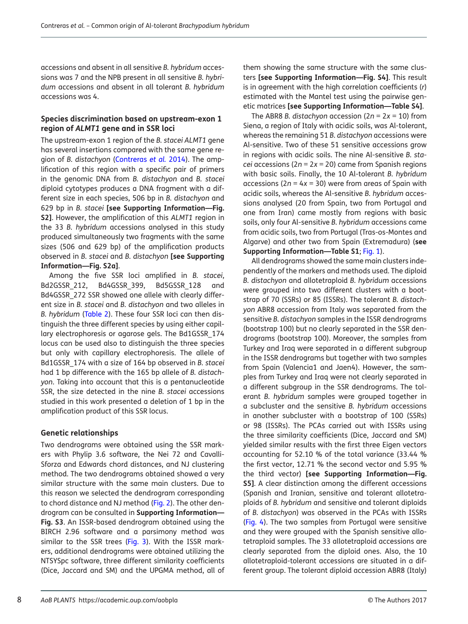accessions and absent in all sensitive *B. hybridum* accessions was 7 and the NPB present in all sensitive *B. hybridum* accessions and absent in all tolerant *B. hybridum* accessions was 4.

## **Species discrimination based on upstream-exon 1 region of** *ALMT1* **gene and in SSR loci**

The upstream-exon 1 region of the *B. stacei ALMT1* gene has several insertions compared with the same gene region of *B. distachyon* ([Contreras](#page-13-9) *et al.* 2014). The amplification of this region with a specific pair of primers in the genomic DNA from *B. distachyon* and *B. stacei* diploid cytotypes produces a DNA fragment with a different size in each species, 506 bp in *B. distachyon* and 629 bp in *B. stacei* **[see Supporting Information—Fig. S2]**. However, the amplification of this *ALMT1* region in the 33 *B. hybridum* accessions analysed in this study produced simultaneously two fragments with the same sizes (506 and 629 bp) of the amplification products observed in *B. stacei* and *B. distachyon* **[see Supporting Information—Fig. S2a]**.

Among the five SSR loci amplified in *B. stacei*, Bd2GSSR\_212, Bd4GSSR\_399, Bd5GSSR\_128 and Bd4GSSR\_272 SSR showed one allele with clearly different size in *B. stacei* and *B. distachyon* and two alleles in *B. hybridum* ([Table 2](#page-6-0)). These four SSR loci can then distinguish the three different species by using either capillary electrophoresis or agarose gels. The Bd1GSSR\_174 locus can be used also to distinguish the three species but only with capillary electrophoresis. The allele of Bd1GSSR\_174 with a size of 164 bp observed in *B. stacei* had 1 bp difference with the 165 bp allele of *B. distachyon*. Taking into account that this is a pentanucleotide SSR, the size detected in the nine *B. stacei* accessions studied in this work presented a deletion of 1 bp in the amplification product of this SSR locus.

## **Genetic relationships**

Two dendrograms were obtained using the SSR markers with Phylip 3.6 software, the Nei 72 and Cavalli-Sforza and Edwards chord distances, and NJ clustering method. The two dendrograms obtained showed a very similar structure with the same main clusters. Due to this reason we selected the dendrogram corresponding to chord distance and NJ method [\(Fig. 2\)](#page-8-0). The other dendrogram can be consulted in **Supporting Information— Fig. S3**. An ISSR-based dendrogram obtained using the BIRCH 2.96 software and a parsimony method was similar to the SSR trees ([Fig. 3](#page-9-0)). With the ISSR markers, additional dendrograms were obtained utilizing the NTSYSpc software, three different similarity coefficients (Dice, Jaccard and SM) and the UPGMA method, all of them showing the same structure with the same clusters **[see Supporting Information—Fig. S4]**. This result is in agreement with the high correlation coefficients (*r*) estimated with the Mantel test using the pairwise genetic matrices **[see Supporting Information—Table S4]**.

The ABR8 *B. distachyon* accession (2*n* = 2*x* = 10) from Siena, a region of Italy with acidic soils, was Al-tolerant, whereas the remaining 51 *B. distachyon* accessions were Al-sensitive. Two of these 51 sensitive accessions grow in regions with acidic soils. The nine Al-sensitive *B. stacei* accessions (2*n* = 2*x* = 20) came from Spanish regions with basic soils. Finally, the 10 Al-tolerant *B. hybridum* accessions (2*n* = 4*x* = 30) were from areas of Spain with acidic soils, whereas the Al-sensitive *B. hybridum* accessions analysed (20 from Spain, two from Portugal and one from Iran) came mostly from regions with basic soils, only four Al-sensitive *B. hybridum* accessions came from acidic soils, two from Portugal (Tras-os-Montes and Algarve) and other two from Spain (Extremadura) (**see Supporting Information—Table S1**; [Fig. 1\)](#page-3-0).

All dendrograms showed the same main clusters independently of the markers and methods used. The diploid *B. distachyon* and allotetraploid *B. hybridum* accessions were grouped into two different clusters with a bootstrap of 70 (SSRs) or 85 (ISSRs). The tolerant *B. distachyon* ABR8 accession from Italy was separated from the sensitive *B. distachyon* samples in the ISSR dendrograms (bootstrap 100) but no clearly separated in the SSR dendrograms (bootstrap 100). Moreover, the samples from Turkey and Iraq were separated in a different subgroup in the ISSR dendrograms but together with two samples from Spain (Valencia1 and Jaen4). However, the samples from Turkey and Iraq were not clearly separated in a different subgroup in the SSR dendrograms. The tolerant *B. hybridum* samples were grouped together in a subcluster and the sensitive *B. hybridum* accessions in another subcluster with a bootstrap of 100 (SSRs) or 98 (ISSRs). The PCAs carried out with ISSRs using the three similarity coefficients (Dice, Jaccard and SM) yielded similar results with the first three Eigen vectors accounting for 52.10 % of the total variance (33.44 % the first vector, 12.71 % the second vector and 5.95 % the third vector) **[see Supporting Information—Fig. S5]**. A clear distinction among the different accessions (Spanish and Iranian, sensitive and tolerant allotetraploids of *B. hybridum* and sensitive and tolerant diploids of *B. distachyon*) was observed in the PCAs with ISSRs ([Fig. 4\)](#page-10-0). The two samples from Portugal were sensitive and they were grouped with the Spanish sensitive allotetraploid samples. The 33 allotetraploid accessions are clearly separated from the diploid ones. Also, the 10 allotetraploid-tolerant accessions are situated in a different group. The tolerant diploid accession ABR8 (Italy)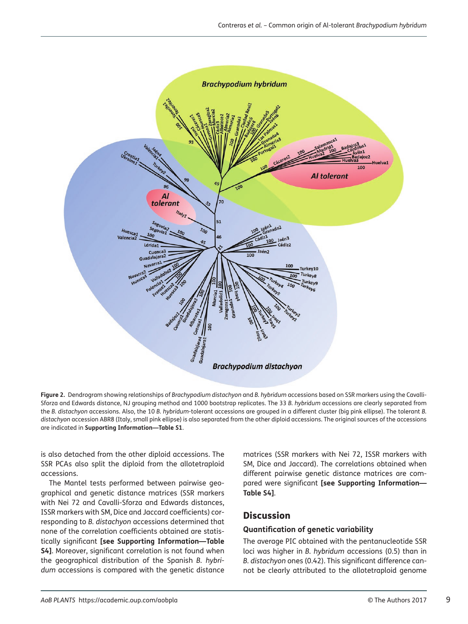

<span id="page-8-0"></span>**Figure 2.** Dendrogram showing relationships of *Brachypodium distachyon* and *B. hybridum* accessions based on SSR markers using the Cavalli-Sforza and Edwards distance, NJ grouping method and 1000 bootstrap replicates. The 33 *B. hybridum* accessions are clearly separated from the *B. distachyon* accessions. Also, the 10 *B. hybridum-*tolerant accessions are grouped in a different cluster (big pink ellipse). The tolerant *B. distachyon* accession ABR8 (Italy, small pink ellipse) is also separated from the other diploid accessions. The original sources of the accessions are indicated in **Supporting Information—Table S1**.

is also detached from the other diploid accessions. The SSR PCAs also split the diploid from the allotetraploid accessions.

The Mantel tests performed between pairwise geographical and genetic distance matrices (SSR markers with Nei 72 and Cavalli-Sforza and Edwards distances, ISSR markers with SM, Dice and Jaccard coefficients) corresponding to *B. distachyon* accessions determined that none of the correlation coefficients obtained are statistically significant **[see Supporting Information—Table S4]**. Moreover, significant correlation is not found when the geographical distribution of the Spanish *B. hybridum* accessions is compared with the genetic distance

matrices (SSR markers with Nei 72, ISSR markers with SM, Dice and Jaccard). The correlations obtained when different pairwise genetic distance matrices are compared were significant **[see Supporting Information— Table S4]**.

## **Discussion**

## **Quantification of genetic variability**

The average PIC obtained with the pentanucleotide SSR loci was higher in *B. hybridum* accessions (0.5) than in *B. distachyon* ones (0.42). This significant difference cannot be clearly attributed to the allotetraploid genome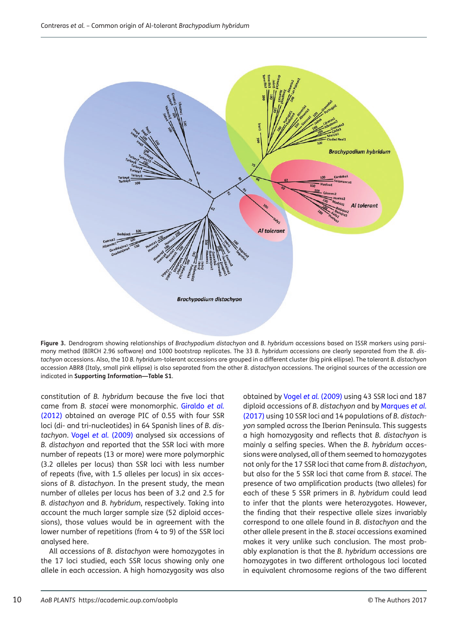

<span id="page-9-0"></span>**Figure 3.** Dendrogram showing relationships of *Brachypodium distachyon* and *B. hybridum* accessions based on ISSR markers using parsimony method (BIRCH 2.96 software) and 1000 bootstrap replicates. The 33 *B. hybridum* accessions are clearly separated from the *B. distachyon* accessions. Also, the 10 *B. hybridum-*tolerant accessions are grouped in a different cluster (big pink ellipse). The tolerant *B. distachyon* accession ABR8 (Italy, small pink ellipse) is also separated from the other *B. distachyon* accessions. The original sources of the accession are indicated in **Supporting Information—Table S1**.

constitution of *B. hybridum* because the five loci that came from *B. stacei* were monomorphic. [Giraldo](#page-14-27) *et al.* [\(2012\)](#page-14-27) obtained an average PIC of 0.55 with four SSR loci (di- and tri-nucleotides) in 64 Spanish lines of *B. distachyon*. Vogel *et al.* [\(2009\)](#page-15-1) analysed six accessions of *B. distachyon* and reported that the SSR loci with more number of repeats (13 or more) were more polymorphic (3.2 alleles per locus) than SSR loci with less number of repeats (five, with 1.5 alleles per locus) in six accessions of *B. distachyon*. In the present study, the mean number of alleles per locus has been of 3.2 and 2.5 for *B. distachyon* and *B. hybridum*, respectively. Taking into account the much larger sample size (52 diploid accessions), those values would be in agreement with the lower number of repetitions (from 4 to 9) of the SSR loci analysed here.

All accessions of *B. distachyon* were homozygotes in the 17 loci studied, each SSR locus showing only one allele in each accession. A high homozygosity was also

obtained by Vogel *et al.* [\(2009\)](#page-15-1) using 43 SSR loci and 187 diploid accessions of *B. distachyon* and by [Marques](#page-14-16) *et al.* [\(2017\)](#page-14-16) using 10 SSR loci and 14 populations of *B. distachyon* sampled across the Iberian Peninsula. This suggests a high homozygosity and reflects that *B. distachyon* is mainly a selfing species. When the *B. hybridum* accessions were analysed, all of them seemed to homozygotes not only for the 17 SSR loci that came from *B. distachyon*, but also for the 5 SSR loci that came from *B. stacei*. The presence of two amplification products (two alleles) for each of these 5 SSR primers in *B. hybridum* could lead to infer that the plants were heterozygotes. However, the finding that their respective allele sizes invariably correspond to one allele found in *B. distachyon* and the other allele present in the *B. stacei* accessions examined makes it very unlike such conclusion. The most probably explanation is that the *B. hybridum* accessions are homozygotes in two different orthologous loci located in equivalent chromosome regions of the two different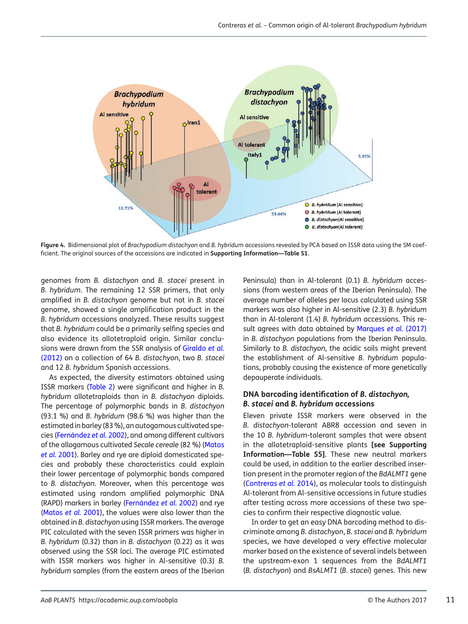

<span id="page-10-0"></span>**Figure 4.** Bidimensional plot of *Brachypodium distachyon* and *B. hybridum* accessions revealed by PCA based on ISSR data using the SM coefficient. The original sources of the accessions are indicated in **Supporting Information—Table S1**.

genomes from *B. distachyon* and *B. stacei* present in *B. hybridum*. The remaining 12 SSR primers, that only amplified in *B. distachyon* genome but not in *B. stacei* genome, showed a single amplification product in the *B. hybridum* accessions analyzed. These results suggest that *B. hybridum* could be a primarily selfing species and also evidence its allotetraploid origin. Similar conclusions were drawn from the SSR analysis of [Giraldo](#page-14-27) *et al.* [\(2012\)](#page-14-27) on a collection of 64 *B. distachyon*, two *B. stacei* and 12 *B. hybridum* Spanish accessions.

As expected, the diversity estimators obtained using ISSR markers [\(Table 2](#page-6-0)) were significant and higher in *B. hybridum* allotetraploids than in *B. distachyon* diploids. The percentage of polymorphic bands in *B. distachyon* (93.1 %) and *B. hybridum* (98.6 %) was higher than the estimated in barley (83 %), an autogamous cultivated species [\(Fernández](#page-13-15) *et al.* 2002), and among different cultivars of the allogamous cultivated *Secale cereale* (82 %) ([Matos](#page-14-28)  *et al.* [2001](#page-14-28)). Barley and rye are diploid domesticated species and probably these characteristics could explain their lower percentage of polymorphic bands compared to *B. distachyon*. Moreover, when this percentage was estimated using random amplified polymorphic DNA (RAPD) markers in barley ([Fernández](#page-13-15) *et al.* 2002) and rye [\(Matos](#page-14-28) *et al.* 2001), the values were also lower than the obtained in *B. distachyon* using ISSR markers. The average PIC calculated with the seven ISSR primers was higher in *B. hybridum* (0.32) than in *B. distachyon* (0.22) as it was observed using the SSR loci. The average PIC estimated with ISSR markers was higher in Al-sensitive (0.3) *B. hybridum* samples (from the eastern areas of the Iberian

Peninsula) than in Al-tolerant (0.1) *B. hybridum* accessions (from western areas of the Iberian Peninsula). The average number of alleles per locus calculated using SSR markers was also higher in Al-sensitive (2.3) *B. hybridum* than in Al-tolerant (1.4) *B. hybridum* accessions. This result agrees with data obtained by [Marques](#page-14-16) *et al.* (2017) in *B. distachyon* populations from the Iberian Peninsula. Similarly to *B. distachyon*, the acidic soils might prevent the establishment of Al-sensitive *B. hybridum* populations, probably causing the existence of more genetically depauperate individuals.

#### **DNA barcoding identification of** *B. distachyon, B. stacei* **and** *B. hybridum* **accessions**

Eleven private ISSR markers were observed in the *B. distachyon-*tolerant ABR8 accession and seven in the 10 *B. hybridum-*tolerant samples that were absent in the allotetraploid-sensitive plants **[see Supporting Information—Table S5]**. These new neutral markers could be used, in addition to the earlier described insertion present in the promoter region of the *BdALMT1* gene ([Contreras](#page-13-9) *et al.* 2014), as molecular tools to distinguish Al-tolerant from Al-sensitive accessions in future studies after testing across more accessions of these two species to confirm their respective diagnostic value.

In order to get an easy DNA barcoding method to discriminate among *B. distachyon*, *B. stacei* and *B. hybridum* species, we have developed a very effective molecular marker based on the existence of several indels between the upstream-exon 1 sequences from the *BdALMT1* (*B. distachyon*) and *BsALMT1* (*B. stacei*) genes. This new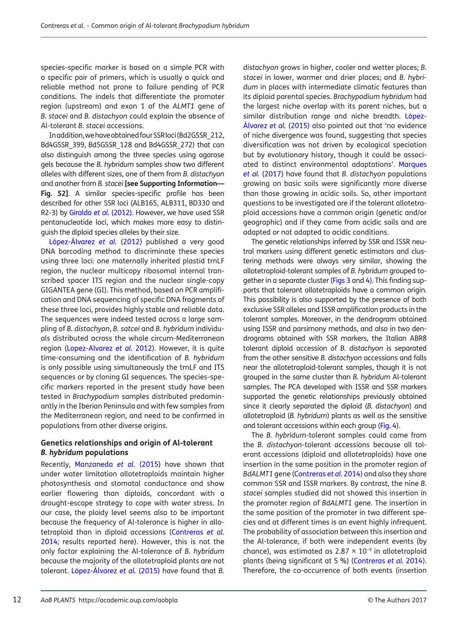species-specific marker is based on a simple PCR with a specific pair of primers, which is usually a quick and reliable method not prone to failure pending of PCR conditions. The indels that differentiate the promoter region (upstream) and exon 1 of the *ALMT1* gene of *B. stacei* and *B. distachyon* could explain the absence of Al-tolerant *B. stacei* accessions.

In addition, we have obtained four SSR loci (Bd2GSSR\_212, Bd4GSSR\_399, Bd5GSSR\_128 and Bd4GSSR\_272) that can also distinguish among the three species using agarose gels because the *B. hybridum* samples show two different alleles with different sizes, one of them from *B. distachyon* and another from *B. stacei* **[see Supporting Information— Fig. S2]**. A similar species-specific profile has been described for other SSR loci (ALB165, ALB311, BD330 and R2-3) by [Giraldo](#page-14-27) *et al.* (2012). However, we have used SSR pentanucleotide loci, which makes more easy to distinguish the diploid species alleles by their size.

[López-Álvarez](#page-14-8) *et al.* (2012) published a very good DNA barcoding method to discriminate these species using three loci: one maternally inherited plastid trnLF region, the nuclear multicopy ribosomal internal transcribed spacer ITS region and the nuclear single-copy GIGANTEA gene (GI). This method, based on PCR amplification and DNA sequencing of specific DNA fragments of these three loci, provides highly stable and reliable data. The sequences were indeed tested across a large sampling of *B. distachyon*, *B. satcei* and *B. hybridum* individuals distributed across the whole circum-Mediterranean region [\(Lopez-Alvarez](#page-14-8) *et al.* 2012). However, it is quite time-consuming and the identification of *B. hybridum* is only possible using simultaneously the trnLF and ITS sequences or by cloning GI sequences. The species-specific markers reported in the present study have been tested in *Brachypodium* samples distributed predominantly in the Iberian Peninsula and with few samples from the Mediterranean region, and need to be confirmed in populations from other diverse origins.

## **Genetics relationships and origin of Al-tolerant**  *B. hybridum* **populations**

Recently, [Manzaneda](#page-14-29) *et al.* (2015) have shown that under water limitation allotetraploids maintain higher photosynthesis and stomatal conductance and show earlier flowering than diploids, concordant with a drought-escape strategy to cope with water stress. In our case, the ploidy level seems also to be important because the frequency of Al-tolerance is higher in allotetraploid than in diploid accessions ([Contreras](#page-13-9) *et al.* [2014](#page-13-9); results reported here). However, this is not the only factor explaining the Al-tolerance of *B. hybridum* because the majority of the allotetraploid plants are not tolerant. [López-Álvarez](#page-14-15) *et al.* (2015) have found that *B.* 

*distachyon* grows in higher, cooler and wetter places; *B. stacei* in lower, warmer and drier places; and *B. hybridum* in places with intermediate climatic features than its diploid parental species. *Brachypodium hybridum* had the largest niche overlap with its parent niches, but a similar distribution range and niche breadth. [López-](#page-14-15)[Álvarez](#page-14-15) *et al.* (2015) also pointed out that 'no evidence of niche divergence was found, suggesting that species diversification was not driven by ecological speciation but by evolutionary history, though it could be associated to distinct environmental adaptations'. [Marques](#page-14-16) *et al.* [\(2017\)](#page-14-16) have found that *B. distachyon* populations growing on basic soils were significantly more diverse than those growing in acidic soils. So, other important questions to be investigated are if the tolerant allotetraploid accessions have a common origin (genetic and/or geographic) and if they came from acidic soils and are adapted or not adapted to acidic conditions.

The genetic relationships inferred by SSR and ISSR neutral markers using different genetic estimators and clustering methods were always very similar, showing the allotetraploid-tolerant samples of *B. hybridum* grouped together in a separate cluster ([Figs 3](#page-9-0) and [4\)](#page-10-0). This finding supports that tolerant allotetraploids have a common origin. This possibility is also supported by the presence of both exclusive SSR alleles and ISSR amplification products in the tolerant samples. Moreover, in the dendrogram obtained using ISSR and parsimony methods, and also in two dendrograms obtained with SSR markers, the Italian ABR8 tolerant diploid accession of *B. distachyon* is separated from the other sensitive *B. distachyon* accessions and falls near the allotetraploid-tolerant samples, though it is not grouped in the same cluster than *B. hybridum* Al-tolerant samples. The PCA developed with ISSR and SSR markers supported the genetic relationships previously obtained since it clearly separated the diploid (*B. distachyon*) and allotetraploid (*B. hybridum*) plants as well as the sensitive and tolerant accessions within each group [\(Fig. 4\)](#page-10-0).

The *B. hybridum-*tolerant samples could came from the *B. distachyon-*tolerant accessions because all tolerant accessions (diploid and allotetraploids) have one insertion in the same position in the promoter region of *BdALMT1* gene ([Contreras](#page-13-9) *et al.* 2014) and also they share common SSR and ISSR markers. By contrast, the nine *B. stacei* samples studied did not showed this insertion in the promoter region of *BdALMT1* gene. The insertion in the same position of the promoter in two different species and at different times is an event highly infrequent. The probability of association between this insertion and the Al-tolerance, if both were independent events (by chance), was estimated as  $2.87 \times 10^{-9}$  in allotetraploid plants (being significant at 5 %) [\(Contreras](#page-13-9) *et al.* 2014). Therefore, the co-occurrence of both events (insertion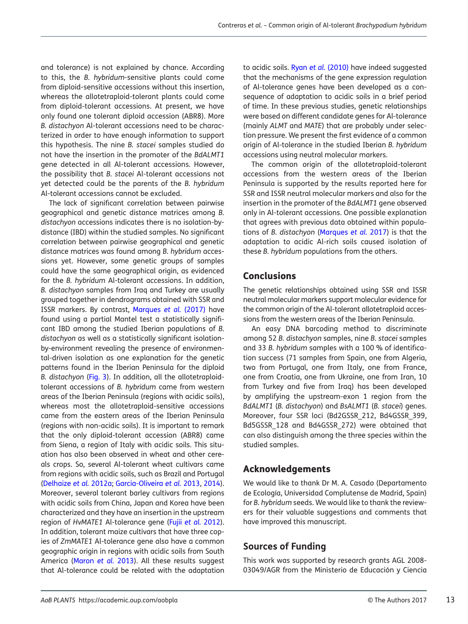and tolerance) is not explained by chance. According to this, the *B. hybridum-*sensitive plants could come from diploid-sensitive accessions without this insertion, whereas the allotetraploid-tolerant plants could come from diploid-tolerant accessions. At present, we have only found one tolerant diploid accession (ABR8). More *B. distachyon* Al-tolerant accessions need to be characterized in order to have enough information to support this hypothesis. The nine *B. stacei* samples studied do not have the insertion in the promoter of the *BdALMT1* gene detected in all Al-tolerant accessions. However, the possibility that *B. stacei* Al-tolerant accessions not yet detected could be the parents of the *B. hybridum* Al-tolerant accessions cannot be excluded.

The lack of significant correlation between pairwise geographical and genetic distance matrices among *B. distachyon* accessions indicates there is no isolation-bydistance (IBD) within the studied samples. No significant correlation between pairwise geographical and genetic distance matrices was found among *B. hybridum* accessions yet. However, some genetic groups of samples could have the same geographical origin, as evidenced for the *B. hybridum* Al-tolerant accessions. In addition, *B. distachyon* samples from Iraq and Turkey are usually grouped together in dendrograms obtained with SSR and ISSR markers. By contrast, [Marques](#page-14-16) *et al.* (2017) have found using a partial Mantel test a statistically significant IBD among the studied Iberian populations of *B. distachyon* as well as a statistically significant isolationby-environment revealing the presence of environmental-driven isolation as one explanation for the genetic patterns found in the Iberian Peninsula for the diploid *B. distachyon* [\(Fig. 3\)](#page-9-0). In addition, all the allotetraploidtolerant accessions of *B. hybridum* came from western areas of the Iberian Peninsula (regions with acidic soils), whereas most the allotetraploid-sensitive accessions came from the eastern areas of the Iberian Peninsula (regions with non-acidic soils). It is important to remark that the only diploid-tolerant accession (ABR8) came from Siena, a region of Italy with acidic soils. This situation has also been observed in wheat and other cereals crops. So, several Al-tolerant wheat cultivars came from regions with acidic soils, such as Brazil and Portugal [\(Delhaize](#page-13-0) *et al.* 2012a; [Garcia-Oliveira](#page-13-2) *et al.* 2013, [2014](#page-13-3)). Moreover, several tolerant barley cultivars from regions with acidic soils from China, Japan and Korea have been characterized and they have an insertion in the upstream region of *HvMATE1* Al-tolerance gene (Fujii *et al.* [2012](#page-13-1)). In addition, tolerant maize cultivars that have three copies of *ZmMATE1* Al-tolerance gene also have a common geographic origin in regions with acidic soils from South America ([Maron](#page-14-30) *et al.* 2013). All these results suggest that Al-tolerance could be related with the adaptation

to acidic soils. Ryan *et al.* [\(2010\)](#page-14-2) have indeed suggested that the mechanisms of the gene expression regulation of Al-tolerance genes have been developed as a consequence of adaptation to acidic soils in a brief period of time. In these previous studies, genetic relationships were based on different candidate genes for Al-tolerance (mainly *ALMT* and *MATE*) that are probably under selection pressure. We present the first evidence of a common origin of Al-tolerance in the studied Iberian *B. hybridum* accessions using neutral molecular markers.

The common origin of the allotetraploid-tolerant accessions from the western areas of the Iberian Peninsula is supported by the results reported here for SSR and ISSR neutral molecular markers and also for the insertion in the promoter of the *BdALMT1* gene observed only in Al-tolerant accessions. One possible explanation that agrees with previous data obtained within populations of *B. distachyon* [\(Marques](#page-14-16) *et al.* 2017) is that the adaptation to acidic Al-rich soils caused isolation of these *B. hybridum* populations from the others.

## Conclusions

The genetic relationships obtained using SSR and ISSR neutral molecular markers support molecular evidence for the common origin of the Al-tolerant allotetraploid accessions from the western areas of the Iberian Peninsula.

An easy DNA barcoding method to discriminate among 52 *B. distachyon* samples, nine *B. stacei* samples and 33 *B. hybridum* samples with a 100 % of identification success (71 samples from Spain, one from Algeria, two from Portugal, one from Italy, one from France, one from Croatia, one from Ukraine, one from Iran, 10 from Turkey and five from Iraq) has been developed by amplifying the upstream-exon 1 region from the *BdALMT1* (*B. distachyon*) and *BsALMT1* (*B. stacei*) genes. Moreover, four SSR loci (Bd2GSSR\_212, Bd4GSSR\_399, Bd5GSSR\_128 and Bd4GSSR\_272) were obtained that can also distinguish among the three species within the studied samples.

## Acknowledgements

We would like to thank Dr M. A. Casado (Departamento de Ecología, Universidad Complutense de Madrid, Spain) for *B. hybridum* seeds. We would like to thank the reviewers for their valuable suggestions and comments that have improved this manuscript.

## **Sources of Funding**

This work was supported by research grants AGL 2008- 03049/AGR from the Ministerio de Educación y Ciencia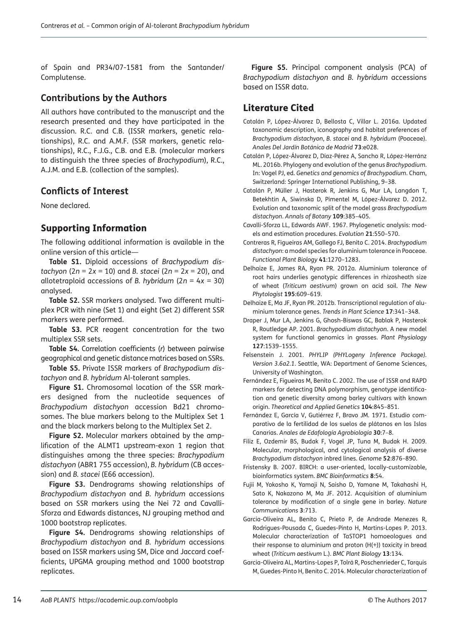of Spain and PR34/07-1581 from the Santander/ Complutense.

## **Contributions by the Authors**

All authors have contributed to the manuscript and the research presented and they have participated in the discussion. R.C. and C.B. (ISSR markers, genetic relationships), R.C. and A.M.F. (SSR markers, genetic relationships), R.C., F.J.G., C.B. and E.B. (molecular markers to distinguish the three species of *Brachypodium*), R.C., A.J.M. and E.B. (collection of the samples).

# **Conflicts of Interest**

None declared.

# Supporting Information

The following additional information is available in the online version of this article—

**Table S1.** Diploid accessions of *Brachypodium distachyon* (2*n* = 2*x* = 10) and *B. stacei* (2*n* = 2*x* = 20), and allotetraploid accessions of *B. hybridum* (2*n* = 4*x* = 30) analysed.

**Table S2.** SSR markers analysed. Two different multiplex PCR with nine (Set 1) and eight (Set 2) different SSR markers were performed.

**Table S3.** PCR reagent concentration for the two multiplex SSR sets.

**Table S4.** Correlation coefficients (*r*) between pairwise geographical and genetic distance matrices based on SSRs.

**Table S5.** Private ISSR markers of *Brachypodium distachyon* and *B. hybridum* Al-tolerant samples.

**Figure S1.** Chromosomal location of the SSR markers designed from the nucleotide sequences of *Brachypodium distachyon* accession Bd21 chromosomes. The blue markers belong to the Multiplex Set 1 and the black markers belong to the Multiplex Set 2.

**Figure S2.** Molecular markers obtained by the amplification of the ALMT1 upstream-exon 1 region that distinguishes among the three species: *Brachypodium distachyon* (ABR1 755 accession), *B. hybridum* (CB accession) and *B. stacei* (E66 accession).

**Figure S3.** Dendrograms showing relationships of *Brachypodium distachyon* and *B. hybridum* accessions based on SSR markers using the Nei 72 and Cavalli-Sforza and Edwards distances, NJ grouping method and 1000 bootstrap replicates.

**Figure S4.** Dendrograms showing relationships of *Brachypodium distachyon* and *B. hybridum* accessions based on ISSR markers using SM, Dice and Jaccard coefficients, UPGMA grouping method and 1000 bootstrap replicates.

**Figure S5.** Principal component analysis (PCA) of *Brachypodium distachyon* and *B. hybridum* accessions based on ISSR data.

# Literature Cited

<span id="page-13-7"></span>Catalán P, López-Álvarez D, Bellosta C, Villar L. 2016a. Updated taxonomic description, iconography and habitat preferences of *Brachypodium distachyon*, *B. stacei* and *B. hybridum* (Poaceae). *Anales Del Jardín Botánico de Madrid* **73**:e028.

<span id="page-13-6"></span>Catalán P, López-Álvarez D, Díaz-Pérez A, Sancho R, López-Herránz ML. 2016b. Phylogeny and evolution of the genus *Brachypodium*. In: Vogel PJ, ed. *Genetics and genomics of Brachypodium*. Cham, Switzerland: Springer International Publishing, 9–38.

<span id="page-13-4"></span>Catalán P, Müller J, Hasterok R, Jenkins G, Mur LA, Langdon T, Betekhtin A, Siwinska D, Pimentel M, López-Álvarez D. 2012. Evolution and taxonomic split of the model grass *Brachypodium distachyon*. *Annals of Botany* **109**:385–405.

<span id="page-13-13"></span>Cavalli-Sforza LL, Edwards AWF. 1967. Phylogenetic analysis: models and estimation procedures. *Evolution* **21**:550–570.

<span id="page-13-9"></span>Contreras R, Figueiras AM, Gallego FJ, Benito C. 2014. *Brachypodium distachyon*: a model species for aluminium tolerance in Poaceae. *Functional Plant Biology* **41**:1270–1283.

<span id="page-13-0"></span>Delhaize E, James RA, Ryan PR. 2012a. Aluminium tolerance of root hairs underlies genotypic differences in rhizosheath size of wheat (*Triticum aestivum*) grown on acid soil. *The New Phytologist* **195**:609–619.

<span id="page-13-10"></span>Delhaize E, Ma JF, Ryan PR. 2012b. Transcriptional regulation of aluminium tolerance genes. *Trends in Plant Science* **17**:341–348.

<span id="page-13-8"></span>Draper J, Mur LA, Jenkins G, Ghosh-Biswas GC, Bablak P, Hasterok R, Routledge AP. 2001. *Brachypodium distachyon*. A new model system for functional genomics in grasses. *Plant Physiology* **127**:1539–1555.

<span id="page-13-12"></span>Felsenstein J. 2001. *PHYLIP (PHYLogeny Inference Package). Version 3.6a2.1*. Seattle, WA: Department of Genome Sciences, University of Washington.

<span id="page-13-15"></span>Fernández E, Figueiras M, Benito C. 2002. The use of ISSR and RAPD markers for detecting DNA polymorphism, genotype identification and genetic diversity among barley cultivars with known origin. *Theoretical and Applied Genetics* **104**:845–851.

<span id="page-13-11"></span>Fernández E, García V, Gutiérrez F, Bravo JM. 1971. Estudio comparativo de la fertilidad de los suelos de plátanos en las Islas Canarias. *Anales de Edafología Agrobiología* **30**:7–8.

<span id="page-13-5"></span>Filiz E, Ozdemir BS, Budak F, Vogel JP, Tuna M, Budak H. 2009. Molecular, morphological, and cytological analysis of diverse *Brachypodium distachyon* inbred lines. *Genome* **52**:876–890.

<span id="page-13-14"></span>Fristensky B. 2007. BIRCH: a user-oriented, locally-customizable, bioinformatics system. *BMC Bioinformatics* **8**:54.

<span id="page-13-1"></span>Fujii M, Yokosho K, Yamaji N, Saisho D, Yamane M, Takahashi H, Sato K, Nakazono M, Ma JF. 2012. Acquisition of aluminium tolerance by modification of a single gene in barley. *Nature Communications* **3**:713.

<span id="page-13-2"></span>Garcia-Oliveira AL, Benito C, Prieto P, de Andrade Menezes R, Rodrigues-Pousada C, Guedes-Pinto H, Martins-Lopes P. 2013. Molecular characterization of TaSTOP1 homoeologues and their response to aluminium and proton (H(+)) toxicity in bread wheat (*Triticum aestivum* L.). *BMC Plant Biology* **13**:134.

<span id="page-13-3"></span>Garcia-Oliveira AL, Martins-Lopes P, Tolrá R, Poschenrieder C, Tarquis M, Guedes-Pinto H, Benito C. 2014. Molecular characterization of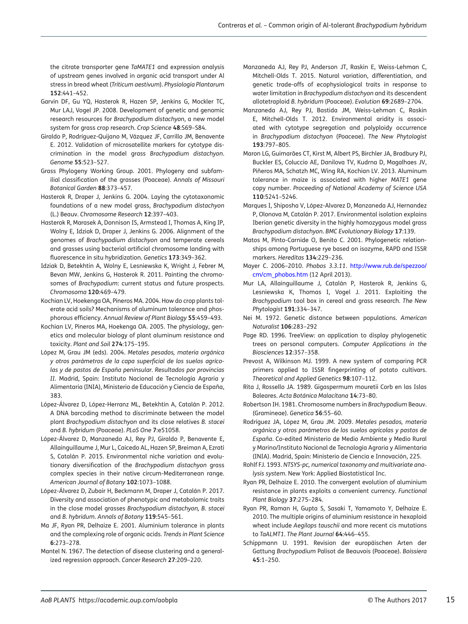the citrate transporter gene *TaMATE1* and expression analysis of upstream genes involved in organic acid transport under Al stress in bread wheat (*Triticum aestivum*). *Physiologia Plantarum* **152**:441–452.

- <span id="page-14-5"></span>Garvin DF, Gu YQ, Hasterok R, Hazen SP, Jenkins G, Mockler TC, Mur LAJ, Vogel JP. 2008. Development of genetic and genomic research resources for *Brachypodium distachyon*, a new model system for grass crop research. *Crop Science* **48**:S69–S84.
- <span id="page-14-27"></span>Giraldo P, Rodríguez-Quijano M, Vázquez JF, Carrillo JM, Benavente E. 2012. Validation of microsatellite markers for cytotype discrimination in the model grass *Brachypodium distachyon*. *Genome* **55**:523–527.
- <span id="page-14-7"></span>Grass Phylogeny Working Group. 2001. Phylogeny and subfamilial classification of the grasses (Poaceae). *Annals of Missouri Botanical Garden* **88**:373–457.
- <span id="page-14-11"></span>Hasterok R, Draper J, Jenkins G. 2004. Laying the cytotaxonomic foundations of a new model grass, *Brachypodium distachyon* (L.) Beauv. *Chromosome Research* **12**:397–403.
- <span id="page-14-12"></span>Hasterok R, Marasek A, Donnison IS, Armstead I, Thomas A, King IP, Wolny E, Idziak D, Draper J, Jenkins G. 2006. Alignment of the genomes of *Brachypodium distachyon* and temperate cereals and grasses using bacterial artificial chromosome landing with fluorescence in situ hybridization. *Genetics* **173**:349–362.
- <span id="page-14-13"></span>Idziak D, Betekhtin A, Wolny E, Lesniewska K, Wright J, Febrer M, Bevan MW, Jenkins G, Hasterok R. 2011. Painting the chromosomes of *Brachypodium*: current status and future prospects. *Chromosoma* **120**:469–479.
- <span id="page-14-0"></span>Kochian LV, Hoekenga OA, Pineros MA. 2004. How do crop plants tolerate acid soils? Mechanisms of aluminum tolerance and phosphorous efficiency. *Annual Review of Plant Biology* **55**:459–493.
- <span id="page-14-1"></span>Kochian LV, Pineros MA, Hoekenga OA. 2005. The physiology, genetics and molecular biology of plant aluminum resistance and toxicity. *Plant and Soil* **274**:175–195.
- <span id="page-14-20"></span>López M, Grau JM (eds). 2004. *Metales pesados, materia orgánica y otros parámetros de la capa superficial de los suelos agrícolas y de pastos de España peninsular. Resultados por provincias II*. Madrid, Spain: Instituto Nacional de Tecnología Agraria y Alimentaria (INIA), Ministerio de Educación y Ciencia de España, 383.
- <span id="page-14-8"></span>López-Álvarez D, López-Herranz ML, Betekhtin A, Catalán P. 2012. A DNA barcoding method to discriminate between the model plant *Brachypodium distachyon* and its close relatives *B. stacei* and *B. hybridum* (Poaceae). *PLoS One* **7**:e51058.
- <span id="page-14-15"></span>López-Álvarez D, Manzaneda AJ, Rey PJ, Giraldo P, Benavente E, Allainguillaume J, Mur L, Caicedo AL, Hazen SP, Breiman A, Ezrati S, Catalán P. 2015. Environmental niche variation and evolutionary diversification of the *Brachypodium distachyon* grass complex species in their native circum-Mediterranean range. *American Journal of Botany* **102**:1073–1088.
- <span id="page-14-17"></span>López-Álvarez D, Zubair H, Beckmann M, Draper J, Catalán P. 2017. Diversity and association of phenotypic and metabolomic traits in the close model grasses *Brachypodium distachyon, B. stacei* and *B. hybridum*. *Annals of Botany* **119**:545–561.
- <span id="page-14-4"></span>Ma JF, Ryan PR, Delhaize E. 2001. Aluminium tolerance in plants and the complexing role of organic acids. *Trends in Plant Science* **6**:273–278.
- <span id="page-14-25"></span>Mantel N. 1967. The detection of disease clustering and a generalized regression approach. *Cancer Research* **27**:209–220.
- <span id="page-14-29"></span>Manzaneda AJ, Rey PJ, Anderson JT, Raskin E, Weiss-Lehman C, Mitchell-Olds T. 2015. Natural variation, differentiation, and genetic trade-offs of ecophysiological traits in response to water limitation in *Brachypodium distachyon* and its descendent allotetraploid *B. hybridum* (Poaceae). *Evolution* **69**:2689–2704.
- <span id="page-14-9"></span>Manzaneda AJ, Rey PJ, Bastida JM, Weiss-Lehman C, Raskin E, Mitchell-Olds T. 2012. Environmental aridity is associated with cytotype segregation and polyploidy occurrence in *Brachypodium distachyon* (Poaceae). *The New Phytologist* **193**:797–805.
- <span id="page-14-30"></span>Maron LG, Guimarães CT, Kirst M, Albert PS, Birchler JA, Bradbury PJ, Buckler ES, Coluccio AE, Danilova TV, Kudrna D, Magalhaes JV, Piñeros MA, Schatzh MC, Wing RA, Kochian LV. 2013. Aluminum tolerance in maize is associated with higher *MATE1* gene copy number. *Proceeding of National Academy of Science USA* **110**:5241–5246.
- <span id="page-14-16"></span>Marques I, Shiposha V, López-Alvarez D, Manzaneda AJ, Hernandez P, Olonova M, Catalán P. 2017. Environmental isolation explains Iberian genetic diversity in the highly homozygous model grass *Brachypodium distachyon*. *BMC Evolutionary Biology* **17**:139.
- <span id="page-14-28"></span>Matos M, Pinto-Carnide O, Benito C. 2001. Phylogenetic relationships among Portuguese rye based on isozyme, RAPD and ISSR markers. *Hereditas* **134**:229–236.
- <span id="page-14-18"></span>Mayer C. 2006–2010. *Phobos 3.3.11*. [http://www.rub.de/spezzoo/](http://www.rub.de/spezzoo/cm/cm_phobos.htm) [cm/cm\\_phobos.htm](http://www.rub.de/spezzoo/cm/cm_phobos.htm) (12 April 2013).
- <span id="page-14-6"></span>Mur LA, Allainguillaume J, Catalán P, Hasterok R, Jenkins G, Lesniewska K, Thomas I, Vogel J. 2011. Exploiting the *Brachypodium* tool box in cereal and grass research. *The New Phytologist* **191**:334–347.
- <span id="page-14-22"></span>Nei M. 1972. Genetic distance between populations. *American Naturalist* **106**:283–292
- <span id="page-14-23"></span>Page RD. 1996. TreeView: an application to display phylogenetic trees on personal computers. *Computer Applications in the Biosciences* **12**:357–358.
- <span id="page-14-21"></span>Prevost A, Wilkinson MJ. 1999. A new system of comparing PCR primers applied to ISSR fingerprinting of potato cultivars. *Theoretical and Applied Genetics* **98**:107–112.
- <span id="page-14-19"></span>Rita J, Rossello JA. 1989. Gigaspermum mouretii Corb en las Islas Baleares. *Acta Botánica Malacitana* **14**:73–80.
- <span id="page-14-10"></span>Robertson IH. 1981. Chromosome numbers in *Brachypodium* Beauv. (Gramineae). *Genetica* **56**:55–60.
- <span id="page-14-26"></span>Rodríguez JA, López M, Grau JM. 2009. *Metales pesados, materia orgánica y otros parámetros de los suelos agrícolas y pastos de España*. Co-edited Ministerio de Medio Ambiente y Medio Rural y Marino/Instituto Nacional de Tecnología Agraria y Alimentaria (INIA). Madrid, Spain: Ministerio de Ciencia e Innovación, 225.
- <span id="page-14-24"></span>Rohlf FJ. 1993. *NTSYS-pc, numerical taxonomy and multivariate analysis system*. New York: Applied Biostatistical Inc.
- <span id="page-14-3"></span>Ryan PR, Delhaize E. 2010. The convergent evolution of aluminium resistance in plants exploits a convenient currency. *Functional Plant Biology* **37**:275–284.
- <span id="page-14-2"></span>Ryan PR, Raman H, Gupta S, Sasaki T, Yamamoto Y, Delhaize E. 2010. The multiple origins of aluminium resistance in hexaploid wheat include *Aegilops tauschii* and more recent cis mutations to *TaALMT1*. *The Plant Journal* **64**:446–455.
- <span id="page-14-14"></span>Schippmann U. 1991. Revision der europäischen Arten der Gattung *Brachypodium* Palisot de Beauvois (Poaceae). *Boissiera* **45**:1–250.